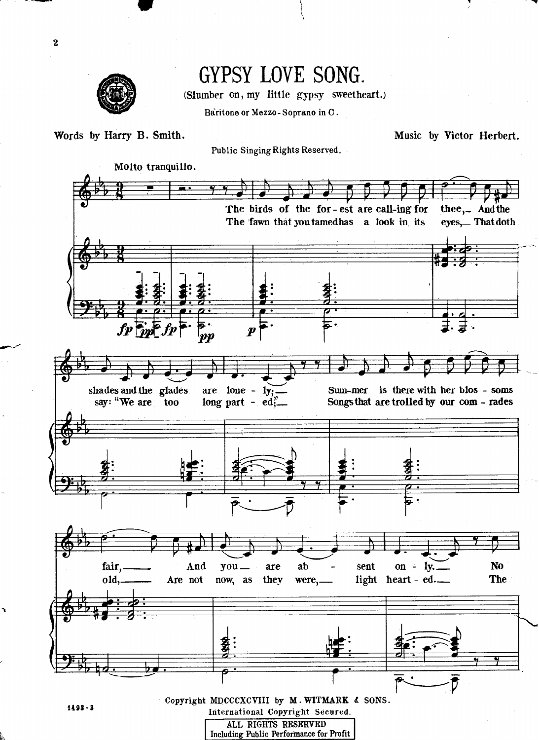

## GYPSY LOVE SONG.

(Slumber on, my little gypsy sweetheart.)

Baritone or Mezzo-Soprano in C.

Words by Harry B. Smith.

Music by Victor Herbert.

Public Singing Rights Reserved.

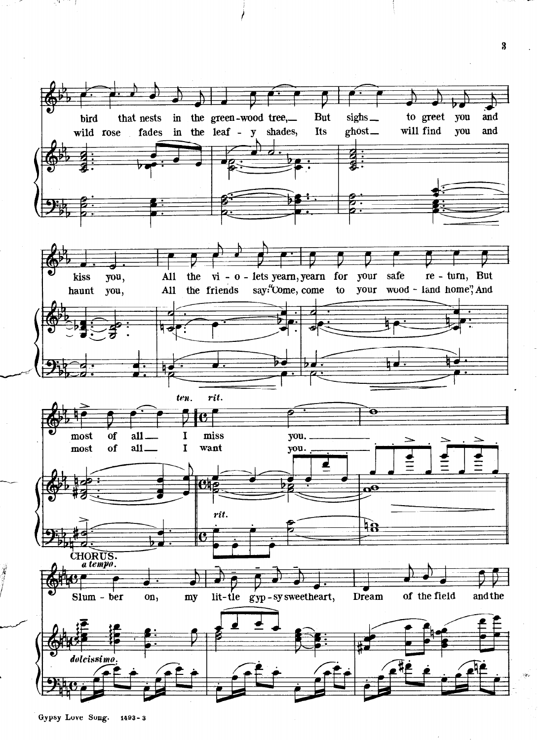